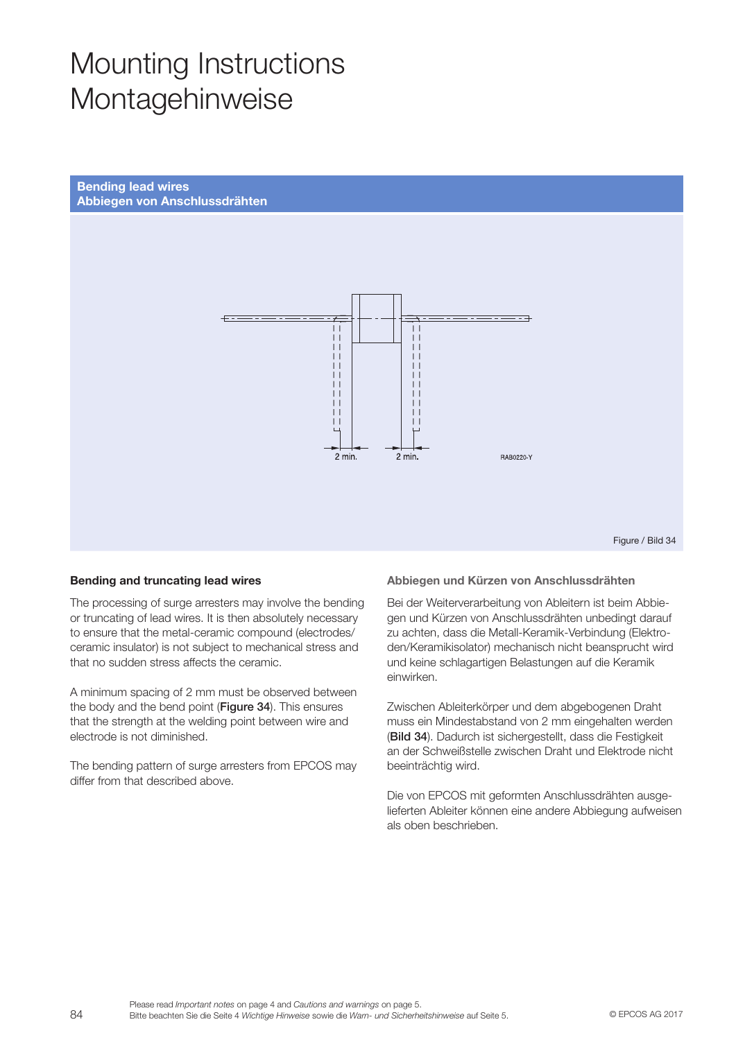# Mounting Instructions Montagehinweise





Figure / Bild 34

### Bending and truncating lead wires

The processing of surge arresters may involve the bending or truncating of lead wires. It is then absolutely necessary to ensure that the metal-ceramic compound (electrodes/ ceramic insulator) is not subject to mechanical stress and that no sudden stress affects the ceramic.

A minimum spacing of 2 mm must be observed between the body and the bend point (Figure 34). This ensures that the strength at the welding point between wire and electrode is not diminished.

The bending pattern of surge arresters from EPCOS may differ from that described above.

#### Abbiegen und Kürzen von Anschlussdrähten

Bei der Weiterverarbeitung von Ableitern ist beim Abbiegen und Kürzen von Anschlussdrähten unbedingt darauf zu achten, dass die Metall-Keramik-Verbindung (Elektroden/Keramikisolator) mechanisch nicht beansprucht wird und keine schlagartigen Belastungen auf die Keramik einwirken.

Zwischen Ableiterkörper und dem abgebogenen Draht muss ein Mindestabstand von 2 mm eingehalten werden (Bild 34). Dadurch ist sichergestellt, dass die Festigkeit an der Schweißstelle zwischen Draht und Elektrode nicht beeinträchtig wird.

Die von EPCOS mit geformten Anschlussdrähten ausgelieferten Ableiter können eine andere Abbiegung aufweisen als oben beschrieben.